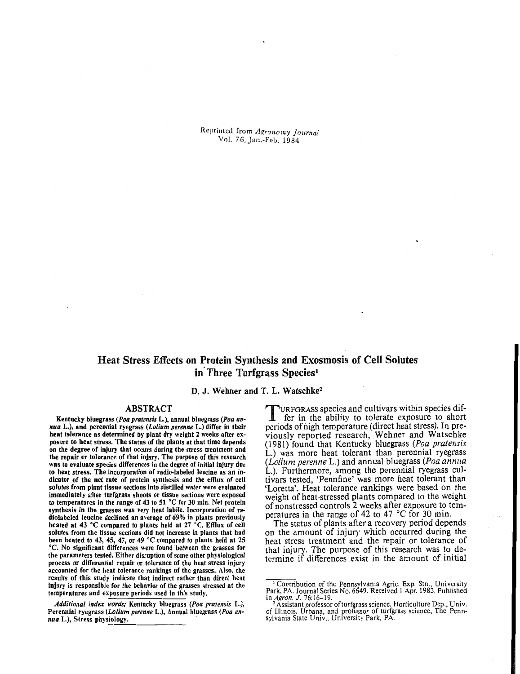Reprinted from *Agronomy* .I*ournal*  Vol. 76, Jan.-Feu. 1984

# Heat Stress Effects on Protein Synthesis and Exosmosis of Cell Solutes in Three Turfgrass Species<sup>1</sup>

# D. J. Wehner and T. L. Watschke'

### ABSTRACT

Kentucky bluegrass *(Poa pratensis* L.), annual bluegrass *(Poa an- nua* L.), and perennial ryegrass *(Lotium perenne* L.) differ in their heat tolerance as determined by plant dry weight 2 weeks after exposure to heat stress. The status of the plants at that time depends on the degree of injury that occurs during the stress treatment and the repair or tolerance of that injury. The purpose of this research was to evaluate species differences in the degree of initial injury due to heat stress. The incorporation of radio-labeled leucine as an indicator of the net rate of protein synthesis and the efflux of cell solutes from plant tissue sections into distilled water were evaluated immediately after turfgrass shoots or tissue sections were exposed to temperatures in the range of 43 to 51 'C for 30 min. Net protein synthesis in the grasses was very heat labile. Incorporation of radiolabeled leucine declined an average of 69% in plants previously heated at 43 °C compared to plants held at 27 °C. Efflux of cell solutes from the tissue sections did not increase in plants that had been heated to 43, 45, 47, or 49°C compared to plants held at 25 <sup>o</sup>C. No significant differences were found between the grasses for the parameters tested. Either disruption of some other physiological process or differential repair or tolerance of the heat stress injury accounted for the heat tolerance rankings of the grasses. Also, the resuits of this study indicate that indirect rather than direct heat injury is responsible for the behavior of the grasses stressed at the temperatures and exposure periods used in this study.

*Additional index words:* Kentucky bluegrass *(Poa pratensis* L.), Perennial ryegrass *(Lolium perenne L.)*, Annual bluegrass *(Poa an- nua L.)*, Stress physiology.

TURFGRASS species and cultivars within species differ in the ability to tolerate exposure to short periods of high temperature (direct heat stress). In previously reported research, Wehner and Watschke (1981) found that Kentucky bluegrass (Poa pratensis L.) was more heat tolerant than perennial ryegrass (Lolium perenne L.) and annual bluegrass (Poa annua L.). Furthermore, among the perennial ryegrass cultivars tested, 'Pennfine' was more heat tolerant than 'Loretta'. Heat tolerance rankings were based on the weight of heat-stressed plants compared to the weight of nonstressed controls 2 weeks after exposure to temperatures in the range of 42 to 47°C for 30 min.

The status of plants after a recovery period depends on the amount of injury which occurred during the heat stress treatment and the repair or tolerance of that injury. The purpose of this research was to determine if differences exist in the amount of initial

<sup>I</sup>Contribution of the Pennsylvania Agric. Exp. Stn.. University Park, PA. Journal Series No. 6649. Received 1Apr. 1983. Published

in Agron. J. 76:16-19.<br><sup>2</sup> Assistant professor of turfgrass science. Horticulture Dep., Univ. of Illinois. Urbana. and professor of turfgrass science, The Pennsylvania State Univ.. University Park, PA.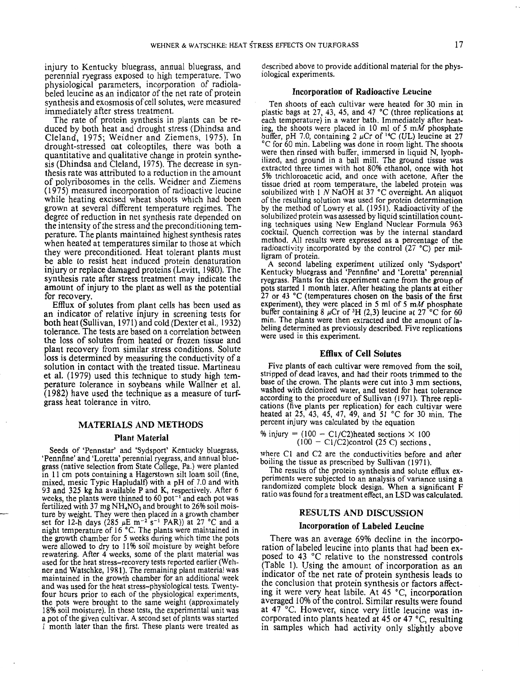injury to Kentucky bluegrass, annual bluegrass, and perennial ryegrass exposed to high temperature. Two physiological parameters, incorporation of radiolabeled leucine as an indicator of the net rate of protein synthesis and exosmosis of cell solutes, were measured immediately after stress treatment.

The rate of protein synthesis in plants can be reduced by both heat and drought stress (Dhindsa and Cleland, 1975; Weidner and Ziemens, 1975). In drought-stressed oat coleoptiles, there was both a quantitative and qualitative change in protein synthesis (Dhindsa and Cleland, 1975). The decrease in synthesis rate was attributed to a reduction in the amount of polyribosomes in the cells. Weidner and Ziemens (1975) measured incorporation of radioactive leucine while heating excised wheat shoots which had been grown at several different temperature regimes. The degree of reduction in net synthesis rate depended on the intensity of the stress and the preconditioning temperature. The plants maintained highest synthesis rates when heated at temperatures similar to those at which they were preconditioned. Heat tolerant plants must be able to resist heat induced protein denaturation injury or replace damaged proteins (Levitt, 1980). The synthesis rate after stress treatment may indicate the amount of injury to the plant as well as the potential for recovery.

Efflux of solutes from plant cells has been used as an indicator of relative injury in screening tests for both heat (Sullivan, 1971) and cold (Dexter et al., 1932) tolerance. The tests are based on a correlation between the loss of solutes from heated or frozen tissue and plant recovery from similar stress conditions. Solute loss is determined by measuring the conductivity of a solution in contact with the treated tissue. Martineau et al. (1979) used this technique to study high temperature tolerance in soybeans while Wallner et al. (1982) have used the technique as a measure of turfgrass heat tolerance in vitro.

## MATERIALS AND METHODS

#### Plant Material

Seeds of 'Pennstar' and 'Sydsport' Kentucky bluegrass, 'Pennfine' and 'Loretta' perennial ryegrass, and annual bluegrass (native selection from State College. Pa.) were planted in 11 cm pots containing a Hagerstown silt loam soil (fine, mixed, mesic Typic Hapludalf) with a pH of 7.0 and with 93 and 325 kg ha available P and K, respectively. After 6 weeks, the plants were thinned to  $60$  pot<sup>-1</sup> and each pot was fertilized with 37 mg NH<sub>4</sub>NO<sub>3</sub> and brought to 26% soil moisture by weight. They were then placed in a growth chamber set for 12-h days (285  $\mu$ E m<sup>-2</sup> s<sup>-1</sup> PAR)) at 27 °C and a night temperature of 16 °C. The plants were maintained in the growth chamber for 5 weeks during which time the pots were allowed to dry to 11% soil moisture by weight before rewatering. After 4 weeks, some of the plant material was used for the heat stress-recovery tests reported earlier (Wehner and Watschke, 1981). The remaining plant material was maintained in the growth chamber for an additional week and was used for the heat stress-physiological tests. Twentyfour hours prior to each of the physiological experiments, the pots were brought to the same weight (approximately 18% soil moisture). In these tests, the experimental unit was a pot of the given cultivar. A second set of plants was started 1 month later than the first. These plants were treated as

described above to provide additional material for the physiological experiments.

## Incorporation of Radioactive Leucine

Ten shoots of each cultivar were heated for 30 min in plastic bags at 27, 43, 45, and 47°C (three replications at each temperature) in a water bath. Immediately after heating, the shoots were placed in 10 ml of 5 *mM* phosphate buffer, pH 7.0, containing 2  $\mu$ Cr of <sup>14</sup>C (UL) leucine at 27 °C for 60 min. Labeling was done in room light. The shoots were then rinsed with buffer, immersed in liquid N, lyophilized, and ground in a ball mill. The ground tissue was extracted three times with hot 80% ethanol, once with hot 5% trichloroacetic acid, and once with acetone. After the tissue dried at room temperature, the labeled protein was solubilized with I *N* NaOH at 37°C overnight. An aliquot of the resulting solution was used for protein determination by the method of Lowry et al. (1951). Radioactivity of the solubilized protein was assessed by liquid scintillation counting techniques using New England Nuclear Formula 963 cocktail. Quench correction was by the internal standard method. All results were expressed as a percentage of the radioactivity incorporated by the control (27 °C) per milligram of protein.

A second labeling experiment utilized only 'Sydsport' Kentucky bluegrass and 'Pennfine' and 'Loretta' perennial ryegrass. Plants for this experiment came from the group of pots started I month later. After heating the plants at either 27 or 43°C (temperatures chosen on the basis of the first experiment), they were placed in 5 ml of 5 *mM* phosphate buffer containing 8  $\mu$ Cr of <sup>3</sup>H (2,3) leucine at 27<sup>°</sup>C for 60 min. The plants were then extracted and the amount of labeling determined as previously described. Five replications were used in this experiment.

#### Efflux of Cell Solutes

Five plants of each cultivar were removed from the soil, stripped of dead leaves, and had their roots trimmed to the base of the crown. The plants were cut into 3 mm sections, washed with deionized water, and tested for heat tolerance according to the procedure of Sullivan (1971). Three replications (five plants per replication) for each cultivar were heated at 25, 43, 45, 47, 49, and 51 °C for 30 min. The percent injury was calculated by the equation

% injury =  $(100 - C1/C2)$  heated sections  $\times 100$  $(100 - C1/C2)$ control (25 C) sections,

where Cl and C2 are the conductivities before and after boiling the tissue as prescribed by Sullivan (1971).

The results of the protein synthesis and solute efflux experiments were subjected to an analysis of variance using a randomized complete block design. When a significant F ratio was found for a treatment effect, an LSD was calculated.

## RESULTS AND DISCUSSION

# Incorporation of Labeled Leucine

There was an average 69% decline in the incorporation of labeled leucine into plants that had been exposed to 43°C relative to the nonstressed controls (Table I). Using the amount of incorporation as an indicator of the net rate of protein synthesis leads to the conclusion that protein synthesis or factors affecting it were very heat labile. At 45°C, incorporation averaged 10% of the control. Similar results were found at 47°C. However, since very little leucine was incorporated into plants heated at 45 or 47 °C, resulting in samples which had activity only slightly above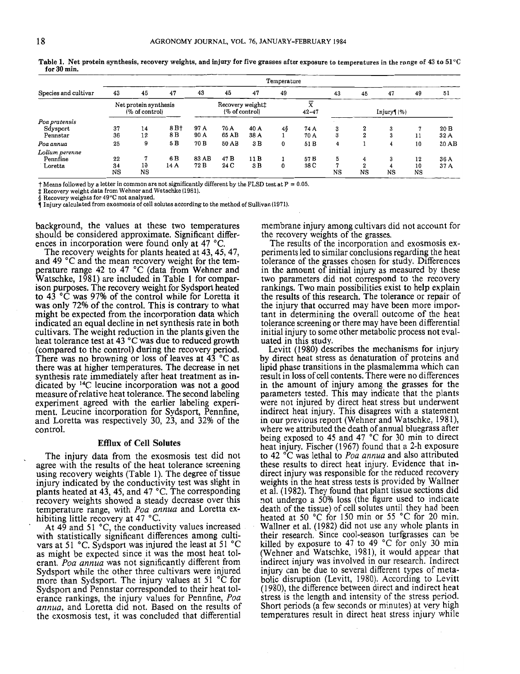| Species and cultivar                  | Temperature                             |               |                         |                                               |               |              |    |                |         |                       |         |                |              |
|---------------------------------------|-----------------------------------------|---------------|-------------------------|-----------------------------------------------|---------------|--------------|----|----------------|---------|-----------------------|---------|----------------|--------------|
|                                       | 43                                      | 45            | 47                      | 43                                            | 45            | 47           | 49 |                | 43      | 45                    | 47      | 49             | 51           |
|                                       | Net protein synthesis<br>(% of control) |               |                         | Recovery weight:<br>$(\% \text{ of control})$ |               |              |    | х<br>$42 - 47$ |         | Injury(%)             |         |                |              |
| Poa pratensis<br>Sdysport<br>Pennstar | 37<br>36                                | 14<br>12      | 8 B <sup>+</sup><br>8 B | 97 A<br>90 A                                  | 70 A<br>65 AB | 40 A<br>38 A | 48 | 74 A<br>70 A   | 3<br>3  | 2<br>2                | 3<br>3  | ٠,<br>11       | 20B<br>32A   |
| Poa annua                             | 25                                      | 9             | 5 B                     | 70 B                                          | 50 AB         | 3 B          | 0  | 51 B           | 4       |                       |         | 10             | 30AB         |
| Lolium perenne<br>Pennfine<br>Loretta | 22<br>34<br>$_{\rm NS}$                 | 7<br>10<br>NS | 6 B<br>14 A             | 83 AB<br>72 B                                 | 47 B<br>24 C  | 11 B<br>3 B  | 0  | 57 B<br>38 C   | 5<br>NS | 4<br>$^{\circ}$<br>NS | 3<br>NS | 12<br>10<br>NS | 36 A<br>37 A |

Table 1. Net protein synthesis, recovery weights, and injury for five grasses after exposure to temperatures in the range of 43 to  $51^{\circ}C$ for 30 min.

 $\dagger$  Means followed by a letter in common are not significantly different by the FLSD test at P = 0.05.

 $\ddagger$  Recovery weight data from Wehner and Watschke (1981).

§ Recovery weights for 49°C not analyzed.

 $\checkmark$  Injury calculated from exosmosis of cell solutes according to the method of Sullivan (1971).

background, the values at these two temperatures should be considered approximate. Significant differences in incorporation were found only at 47  $^{\circ}$ C.

The recovery weights for plants heated at 43, 45, 47, and 49 °C and the mean recovery weight for the temperature range 42 to 47  $^{\circ}$ C (data from Wehner and Watschke, 1981) are included in Table 1 for comparison purposes. The recovery weight for Sydsport heated to 43 °C was 97% of the control while for Loretta it was only 72% of the control. This is contrary to what might be expected from the incorporation data which indicated an equal decline in net synthesis rate in both cultivars. The weight reduction in the plants given the heat tolerance test at 43 °C was due to reduced growth (compared to the control) during the recovery period. There was no browning or loss of leaves at  $43$  °C as there was at higher temperatures. The decrease in net synthesis rate immediately after heat treatment as indicated by 14C leucine incorporation was not a good measure ofrelative heat tolerance. The second labeling experiment agreed with the earlier labeling experiment. Leucine incorporation for Sydsport, Pennfine, and Loretta was respectively 30, 23, and 32% of the control.

#### Efflux of Cell Solutes

The injury data from the exosmosis test did not agree with the results of the heat tolerance screening using recovery weights (Table 1). The degree of tissue injury indicated by the conductivity test was slight in plants heated at 43, 45, and 47  $^{\circ}$ C. The corresponding recovery weights showed a steady decrease over this temperature range, with *Paa annua* and Loretta exhibiting little recovery at 47  $^{\circ}$ C.

At 49 and 51 °C, the conductivity values increased with statistically significant differences among cultivars at 51 °C. Sydsport was injured the least at 51 °C as might be expected since it was the most heat tolerant. Poa annua was not significantly different from Sydsport while the other three cultivars were injured more than Sydsport. The injury values at 51  $\degree$ C for Sydsport and Pennstar corresponded to their heat tolerance rankings, the injury values for Pennfine, *Paa annua,* and Loretta did not. Based on the results of the exosmosis test, it was concluded that differential membrane injury among cultivars did not account for the recovery weights of the grasses.

The results of the incorporation and exosmosis experiments led to similar conclusions regarding the heat tolerance of the grasses chosen for study. Differences in the amount of initial injury as measured by these two parameters did not correspond to the recovery rankings. Two main possibilities exist to help explain the results of this research. The tolerance or repair of the injury that occurred may have been more important in determining the overall outcome of the heat tolerance screening or there may have been differential initial injury to some other metabolic process not evaluated in this study.

Levitt (1980) describes the mechanisms for injury by direct heat stress as denaturation of proteins and lipid phase transitions in the plasmalemma which can result in loss of cell contents. There were no differences in the amount of injury among the grasses for the parameters tested. This may indicate that the plants were not injured by direct heat stress but underwent indirect heat injury. This disagrees with a statement in our previous report (Wehner and Watschke, 1981), where we attributed the death of annual bluegrass after being exposed to 45 and 47  $^{\circ}$ C for 30 min to direct heat injury. Fischer (1967) found that a 2-h exposure to 42 °C was lethal to *Poa annua* and also attributed these results to direct heat injury. Evidence that indirect injury was responsible for the reduced recovery weights in the heat stress tests is provided by Wallner et al. (1982). They found that plant tissue sections did not undergo a 50% loss (the figure used to indicate death of the tissue) of cell solutes until they had been heated at 50 °C for 150 min or 55 °C for 20 min. Wallner et al. (1982) did not use any whole plants in their research. Since cool-season turfgrasses can be killed by exposure to 47 to 49 °C for only 30 min (Wehner and Watschke, 1981), it would appear that indirect injury was involved in our research. Indirect injury can be due to several different types of metabolic disruption (Levitt, 1980). According to Levitt (1980), the difference between direct and indirect heat stress is the length and intensity of the stress period. Short periods (a few seconds or minutes) at very high temperatures result in direct heat stress injury while